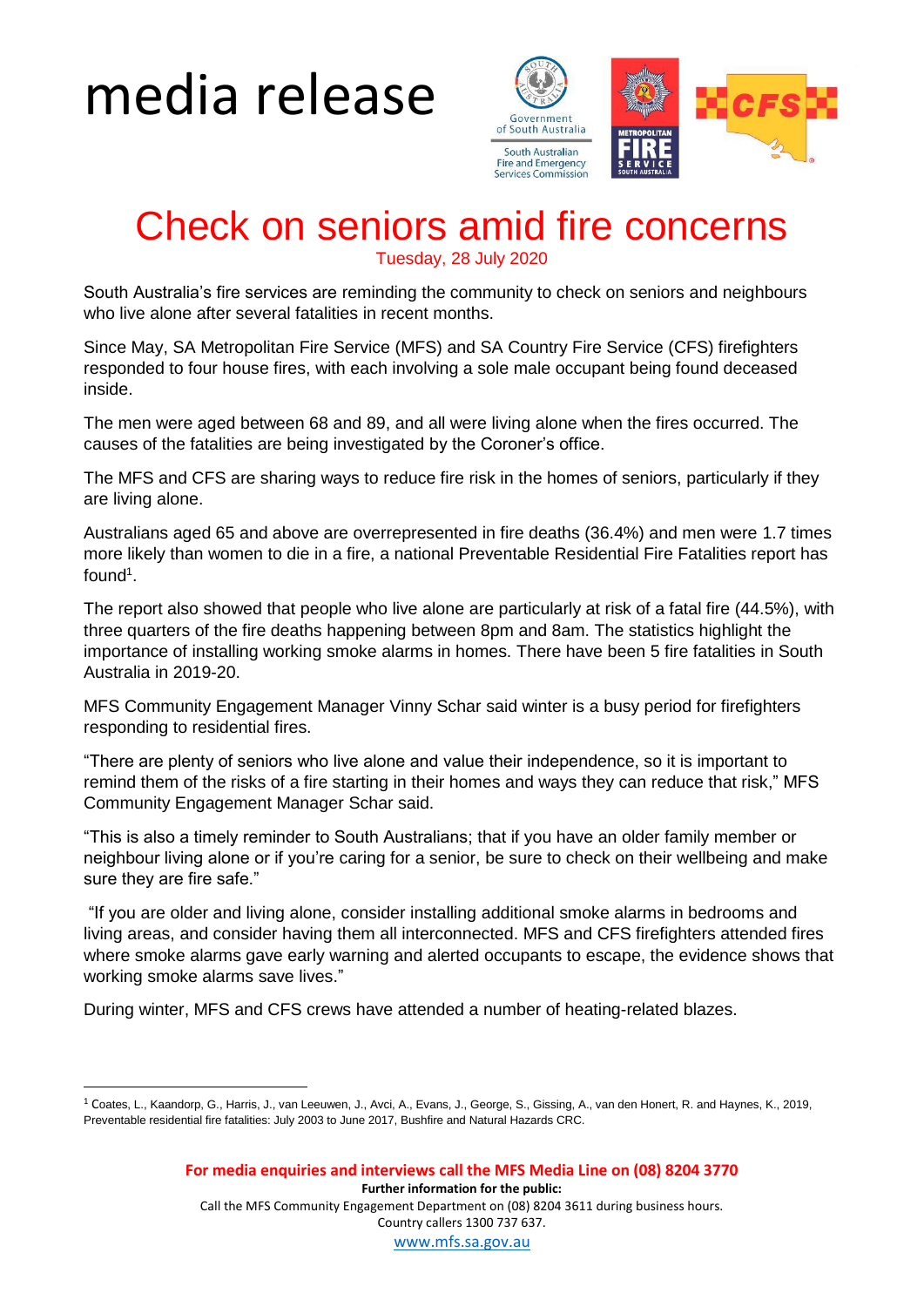## media release



## Check on seniors amid fire concerns

Tuesday, 28 July 2020

South Australia's fire services are reminding the community to check on seniors and neighbours who live alone after several fatalities in recent months.

Since May, SA Metropolitan Fire Service (MFS) and SA Country Fire Service (CFS) firefighters responded to four house fires, with each involving a sole male occupant being found deceased inside.

The men were aged between 68 and 89, and all were living alone when the fires occurred. The causes of the fatalities are being investigated by the Coroner's office.

The MFS and CFS are sharing ways to reduce fire risk in the homes of seniors, particularly if they are living alone.

Australians aged 65 and above are overrepresented in fire deaths (36.4%) and men were 1.7 times more likely than women to die in a fire, a national Preventable Residential Fire Fatalities report has found<sup>1</sup>.

The report also showed that people who live alone are particularly at risk of a fatal fire (44.5%), with three quarters of the fire deaths happening between 8pm and 8am. The statistics highlight the importance of installing working smoke alarms in homes. There have been 5 fire fatalities in South Australia in 2019-20.

MFS Community Engagement Manager Vinny Schar said winter is a busy period for firefighters responding to residential fires.

"There are plenty of seniors who live alone and value their independence, so it is important to remind them of the risks of a fire starting in their homes and ways they can reduce that risk," MFS Community Engagement Manager Schar said.

"This is also a timely reminder to South Australians; that if you have an older family member or neighbour living alone or if you're caring for a senior, be sure to check on their wellbeing and make sure they are fire safe."

"If you are older and living alone, consider installing additional smoke alarms in bedrooms and living areas, and consider having them all interconnected. MFS and CFS firefighters attended fires where smoke alarms gave early warning and alerted occupants to escape, the evidence shows that working smoke alarms save lives."

During winter, MFS and CFS crews have attended a number of heating-related blazes.

 $\overline{a}$ 

<sup>1</sup> Coates, L., Kaandorp, G., Harris, J., van Leeuwen, J., Avci, A., Evans, J., George, S., Gissing, A., van den Honert, R. and Haynes, K., 2019, Preventable residential fire fatalities: July 2003 to June 2017, Bushfire and Natural Hazards CRC.